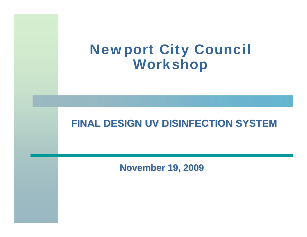#### Newport City Council Workshop

#### **FINAL DESIGN UV DISINFECTION SYSTEM**

**November 19, 2009**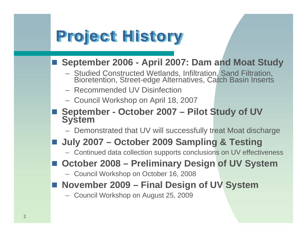### Project History

#### **September 2006 - April 2007: Dam and Moat Study**

- $\mathcal{L}_{\mathcal{A}}$ Studied Constructed Wetlands, Infiltration, Sand Filtration, Bioretention, Street-edge Alternatives, Catch Basin Inserts
- Recommended UV Disinfection
- Council Workshop on April 18, 2007
- **September - October 2007 – Pilot Study of UV System**
	- Demonstrated that UV will successfully treat Moat discharge

#### **July 2007 – October 2009 Sampling & Testing**

- Continued data collection supports conclusions on UV effectiveness
- October 2008 Preliminary Design of UV System
	- Council Workshop on October 16, 2008
- **November 2009 – Final Design of UV System**
	- Council Workshop on August 25, 2009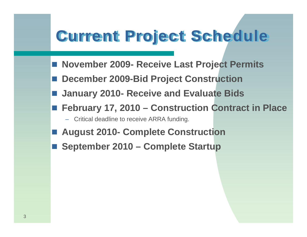## Current Project Schedule

- **Contract Contract Contract Contract Contract Contract Contract Contract Contract Contract Contract Contract C November 2009- Receive Last Project Permits**
- **December 2009-Bid Project Construction**
- **January 2010- Receive and Evaluate Bids**
- **February 17, 2010 – Construction Contract in Place**
	- Critical deadline to receive ARRA funding.
- **Contract Contract Contract Contract Contract Contract Contract Contract Contract Contract Contract Contract C August 2010- Complete Construction**
- **September 2010 – Complete Startup**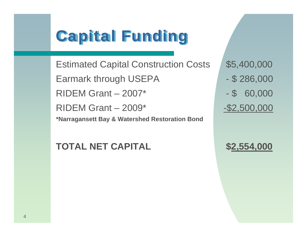### Capital Funding

Estimated Capital Construction Costs \$5,400,000 Earmark through USEPA - \$286,000  $RIDEM Grant - 2007*$  - \$ 60,000 RIDEM Grant – 2009\* - \$2,500,000 **\*Narragansett Bay & Watershed Restoration Bond**

**TOTAL NET CAPITAL \$2,554,000**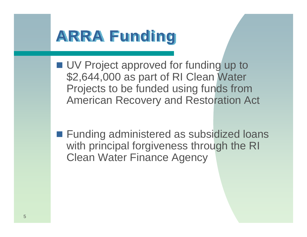#### ARRA Funding

■ UV Project approved for funding up to \$2,644,000 as part of RI Clean Water Projects to be funded using funds from American Recovery and Restoration Act

**Funding administered as subsidized loans** with principal forgiveness through the RI Clean Water Finance Agency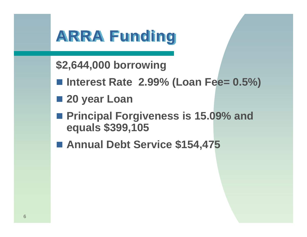#### ARRA Funding

- **\$2,644,000 borrowing**
- Interest Rate 2.99% (Loan Fee= 0.5%)
- **20 year Loan**
- Principal Forgiveness is 15.09% and **equals \$399,105**
- **Annual Debt Service \$154,475**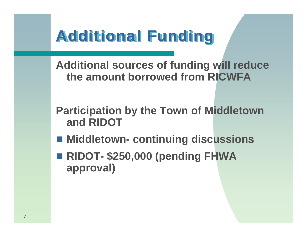#### Additional Funding

**Additional sources of funding will reduce the amount borrowed from RICWFA**

**Participation by the Town of Middletown and RIDOT**

- **Middletown- continuing discussions**
- **RIDOT- \$250,000 (pending FHWA approval)**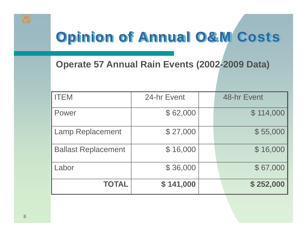#### Opinion of Annual O&M Costs

**Operate 57 Annual Rain Events (2002-2009 Data)**

| <b>ITEM</b>                | 24-hr Event | 48-hr Event |
|----------------------------|-------------|-------------|
| Power                      | \$62,000    | \$114,000   |
| <b>Lamp Replacement</b>    | \$27,000    | \$55,000    |
| <b>Ballast Replacement</b> | \$16,000    | \$16,000    |
| Labor                      | \$36,000    | \$67,000    |
| <b>TOTAL</b>               | \$141,000   | \$252,000   |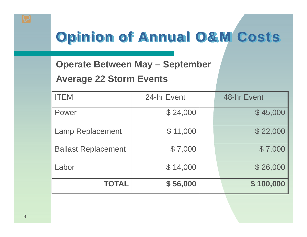#### Opinion of Annual O&M Costs

**Operate Between May – September** 

#### **Average 22 Storm Events**

| <b>ITEM</b>                | 24-hr Event | 48-hr Event |
|----------------------------|-------------|-------------|
| Power                      | \$24,000    | \$45,000    |
| <b>Lamp Replacement</b>    | \$11,000    | \$22,000    |
| <b>Ballast Replacement</b> | \$7,000     | \$7,000     |
| Labor                      | \$14,000    | \$26,000    |
| <b>TOTAL</b>               | \$56,000    | \$100,000   |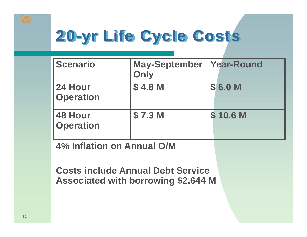# 20-yr Life Cycle Costs

| <b>Scenario</b>                    | May-September   Year-Round<br>Only |          |
|------------------------------------|------------------------------------|----------|
| 24 Hour<br><b>Operation</b>        | \$4.8 M                            | \$6.0 M  |
| <b>48 Hour</b><br><b>Operation</b> | \$7.3 <sub>M</sub>                 | \$10.6 M |

**4% Inflation on Annual O/M**

**Costs include Annual Debt Service Associated with borrowing \$2.644 M**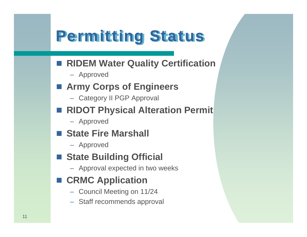### Permitting Status

- **RIDEM Water Quality Certification** 
	- Approved
- **Army Corps of Engineers**
	- Category II PGP Approval
- **Contract Contract Contract Contract Contract Contract Contract Contract Contract Contract Contract Contract C RIDOT Physical Alteration Permit**
	- Approved
- State Fire Marshall
	- Approved
- **State Building Official**
	- Approval expected in two weeks
- CRMC Application
	- Council Meeting on 11/24
	- Staff recommends approval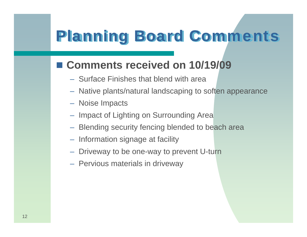## Planning Board Comments

#### **Comments received on 10/19/09**

- Surface Finishes that blend with area
- Native plants/natural landscaping to soften appearance
- Noise Impacts
- Impact of Lighting on Surrounding Area
- Blending security fencing blended to beach area
- $-$  Information signage at facility
- $\mathcal{L}_{\mathcal{A}}$  $-$  Driveway to be one-way to prevent U-turn
- Pervious materials in driveway